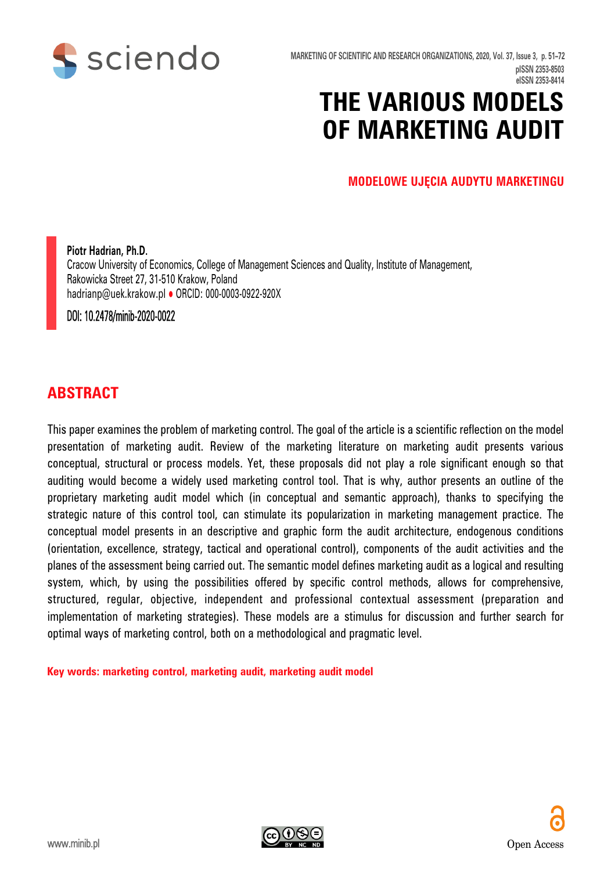

# **THE VARIOUS MODELS OF MARKETING AUDIT**

#### **MODELOWE UJĘCIA AUDYTU MARKETINGU**

**Piotr Hadrian, Ph.D.** Cracow University of Economics, College of Management Sciences and Quality, Institute of Management, Rakowicka Street 27, 31-510 Krakow, Poland hadrianp@uek.krakow.pl • ORCID: 000-0003-0922-920X

#### DOI: 10.2478/minib-2020-0022

## **ABSTRACT**

This paper examines the problem of marketing control. The goal of the article is a scientific reflection on the model presentation of marketing audit. Review of the marketing literature on marketing audit presents various conceptual, structural or process models. Yet, these proposals did not play a role significant enough so that auditing would become a widely used marketing control tool. That is why, author presents an outline of the proprietary marketing audit model which (in conceptual and semantic approach), thanks to specifying the strategic nature of this control tool, can stimulate its popularization in marketing management practice. The conceptual model presents in an descriptive and graphic form the audit architecture, endogenous conditions (orientation, excellence, strategy, tactical and operational control), components of the audit activities and the planes of the assessment being carried out. The semantic model defines marketing audit as a logical and resulting system, which, by using the possibilities offered by specific control methods, allows for comprehensive, structured, regular, objective, independent and professional contextual assessment (preparation and implementation of marketing strategies). These models are a stimulus for discussion and further search for optimal ways of marketing control, both on a methodological and pragmatic level.

**Key words: marketing control, marketing audit, marketing audit model**



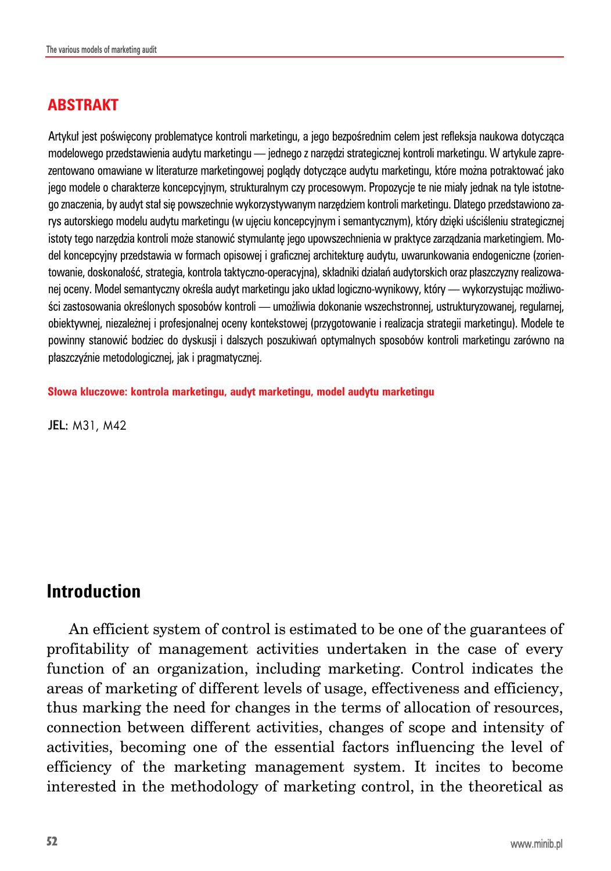#### **ABSTRAKT**

Artykuł jest poświęcony problematyce kontroli marketingu, a jego bezpośrednim celem jest refleksja naukowa dotycząca modelowego przedstawienia audytu marketingu — jednego z narzędzi strategicznej kontroli marketingu. W artykule zaprezentowano omawiane w literaturze marketingowej poglądy dotyczące audytu marketingu, które można potraktować jako jego modele o charakterze koncepcyjnym, strukturalnym czy procesowym. Propozycje te nie miały jednak na tyle istotnego znaczenia, by audyt stał się powszechnie wykorzystywanym narzędziem kontroli marketingu. Dlatego przedstawiono zarys autorskiego modelu audytu marketingu (w ujęciu koncepcyjnym i semantycznym), który dzięki uściśleniu strategicznej istoty tego narzędzia kontroli może stanowić stymulantę jego upowszechnienia w praktyce zarządzania marketingiem. Model koncepcyjny przedstawia w formach opisowej i graficznej architekturę audytu, uwarunkowania endogeniczne (zorientowanie, doskonałość, strategia, kontrola taktyczno-operacyjna), składniki działań audytorskich oraz płaszczyzny realizowanej oceny. Model semantyczny określa audyt marketingu jako układ logiczno-wynikowy, który — wykorzystując możliwości zastosowania określonych sposobów kontroli — umożliwia dokonanie wszechstronnej, ustrukturyzowanej, regularnej, obiektywnej, niezależnej i profesjonalnej oceny kontekstowej (przygotowanie i realizacja strategii marketingu). Modele te powinny stanowić bodziec do dyskusji i dalszych poszukiwań optymalnych sposobów kontroli marketingu zarówno na płaszczyźnie metodologicznej, jak i pragmatycznej.

**Słowa kluczowe: kontrola marketingu, audyt marketingu, model audytu marketingu**

JEL: M31, M42

## **Introduction**

An efficient system of control is estimated to be one of the guarantees of profitability of management activities undertaken in the case of every function of an organization, including marketing. Control indicates the areas of marketing of different levels of usage, effectiveness and efficiency, thus marking the need for changes in the terms of allocation of resources, connection between different activities, changes of scope and intensity of activities, becoming one of the essential factors influencing the level of efficiency of the marketing management system. It incites to become interested in the methodology of marketing control, in the theoretical as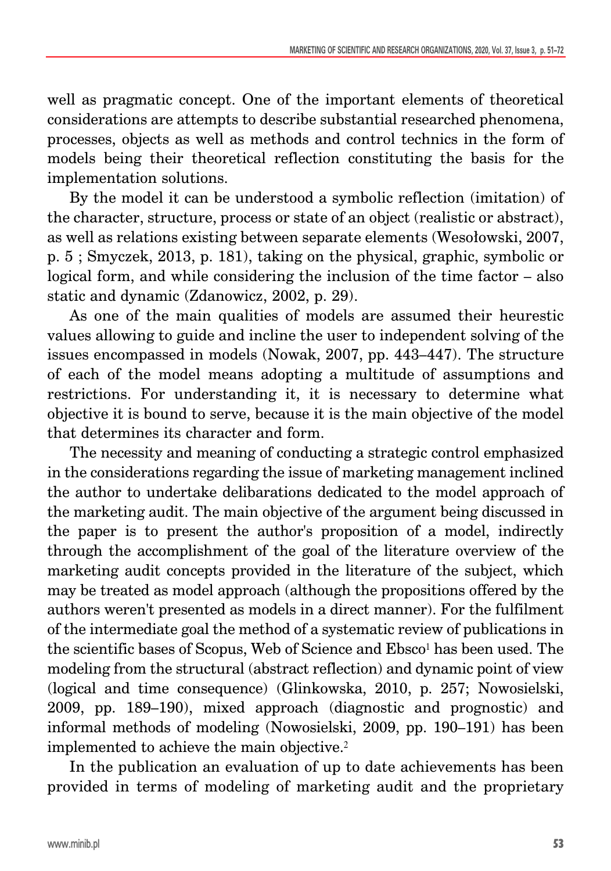well as pragmatic concept. One of the important elements of theoretical considerations are attempts to describe substantial researched phenomena, processes, objects as well as methods and control technics in the form of models being their theoretical reflection constituting the basis for the implementation solutions.

By the model it can be understood a symbolic reflection (imitation) of the character, structure, process or state of an object (realistic or abstract), as well as relations existing between separate elements (Wesołowski, 2007, p. 5 ; Smyczek, 2013, p. 181), taking on the physical, graphic, symbolic or logical form, and while considering the inclusion of the time factor – also static and dynamic (Zdanowicz, 2002, p. 29).

As one of the main qualities of models are assumed their heurestic values allowing to guide and incline the user to independent solving of the issues encompassed in models (Nowak, 2007, pp. 443–447). The structure of each of the model means adopting a multitude of assumptions and restrictions. For understanding it, it is necessary to determine what objective it is bound to serve, because it is the main objective of the model that determines its character and form.

The necessity and meaning of conducting a strategic control emphasized in the considerations regarding the issue of marketing management inclined the author to undertake delibarations dedicated to the model approach of the marketing audit. The main objective of the argument being discussed in the paper is to present the author's proposition of a model, indirectly through the accomplishment of the goal of the literature overview of the marketing audit concepts provided in the literature of the subject, which may be treated as model approach (although the propositions offered by the authors weren't presented as models in a direct manner). For the fulfilment of the intermediate goal the method of a systematic review of publications in the scientific bases of Scopus, Web of Science and Ebsco<sup>1</sup> has been used. The modeling from the structural (abstract reflection) and dynamic point of view (logical and time consequence) (Glinkowska, 2010, p. 257; Nowosielski, 2009, pp. 189–190), mixed approach (diagnostic and prognostic) and informal methods of modeling (Nowosielski, 2009, pp. 190–191) has been implemented to achieve the main objective.<sup>2</sup>

In the publication an evaluation of up to date achievements has been provided in terms of modeling of marketing audit and the proprietary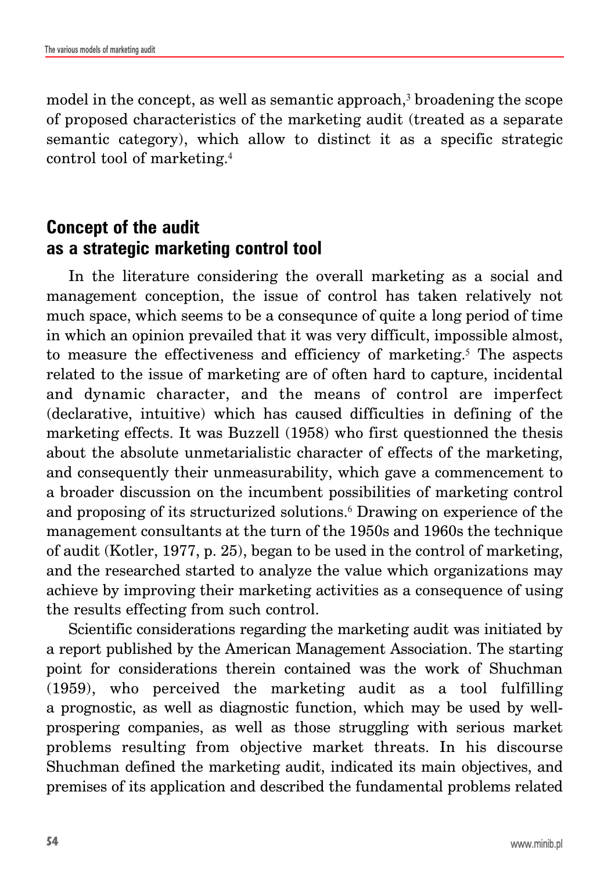model in the concept, as well as semantic approach, $3$  broadening the scope of proposed characteristics of the marketing audit (treated as a separate semantic category), which allow to distinct it as a specific strategic control tool of marketing.<sup>4</sup>

# **Concept of the audit as a strategic marketing control tool**

In the literature considering the overall marketing as a social and management conception, the issue of control has taken relatively not much space, which seems to be a consequnce of quite a long period of time in which an opinion prevailed that it was very difficult, impossible almost, to measure the effectiveness and efficiency of marketing.<sup>5</sup> The aspects related to the issue of marketing are of often hard to capture, incidental and dynamic character, and the means of control are imperfect (declarative, intuitive) which has caused difficulties in defining of the marketing effects. It was Buzzell (1958) who first questionned the thesis about the absolute unmetarialistic character of effects of the marketing, and consequently their unmeasurability, which gave a commencement to a broader discussion on the incumbent possibilities of marketing control and proposing of its structurized solutions.<sup>6</sup> Drawing on experience of the management consultants at the turn of the 1950s and 1960s the technique of audit (Kotler, 1977, p. 25), began to be used in the control of marketing, and the researched started to analyze the value which organizations may achieve by improving their marketing activities as a consequence of using the results effecting from such control.

Scientific considerations regarding the marketing audit was initiated by a report published by the American Management Association. The starting point for considerations therein contained was the work of Shuchman (1959), who perceived the marketing audit as a tool fulfilling a prognostic, as well as diagnostic function, which may be used by wellprospering companies, as well as those struggling with serious market problems resulting from objective market threats. In his discourse Shuchman defined the marketing audit, indicated its main objectives, and premises of its application and described the fundamental problems related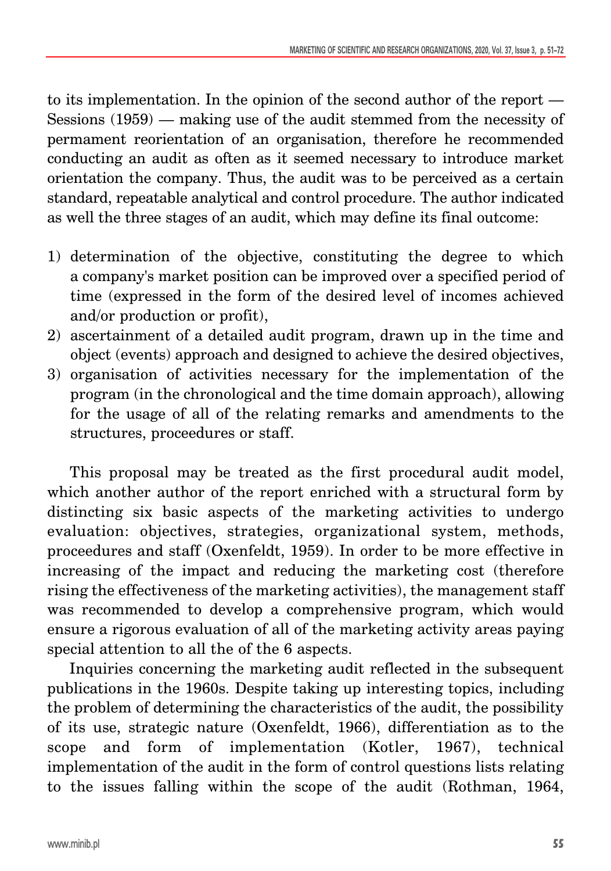to its implementation. In the opinion of the second author of the report — Sessions (1959) — making use of the audit stemmed from the necessity of permament reorientation of an organisation, therefore he recommended conducting an audit as often as it seemed necessary to introduce market orientation the company. Thus, the audit was to be perceived as a certain standard, repeatable analytical and control procedure. The author indicated as well the three stages of an audit, which may define its final outcome:

- 1) determination of the objective, constituting the degree to which a company's market position can be improved over a specified period of time (expressed in the form of the desired level of incomes achieved and/or production or profit),
- 2) ascertainment of a detailed audit program, drawn up in the time and object (events) approach and designed to achieve the desired objectives,
- 3) organisation of activities necessary for the implementation of the program (in the chronological and the time domain approach), allowing for the usage of all of the relating remarks and amendments to the structures, proceedures or staff.

This proposal may be treated as the first procedural audit model, which another author of the report enriched with a structural form by distincting six basic aspects of the marketing activities to undergo evaluation: objectives, strategies, organizational system, methods, proceedures and staff (Oxenfeldt, 1959). In order to be more effective in increasing of the impact and reducing the marketing cost (therefore rising the effectiveness of the marketing activities), the management staff was recommended to develop a comprehensive program, which would ensure a rigorous evaluation of all of the marketing activity areas paying special attention to all the of the 6 aspects.

Inquiries concerning the marketing audit reflected in the subsequent publications in the 1960s. Despite taking up interesting topics, including the problem of determining the characteristics of the audit, the possibility of its use, strategic nature (Oxenfeldt, 1966), differentiation as to the scope and form of implementation (Kotler, 1967), technical implementation of the audit in the form of control questions lists relating to the issues falling within the scope of the audit (Rothman, 1964,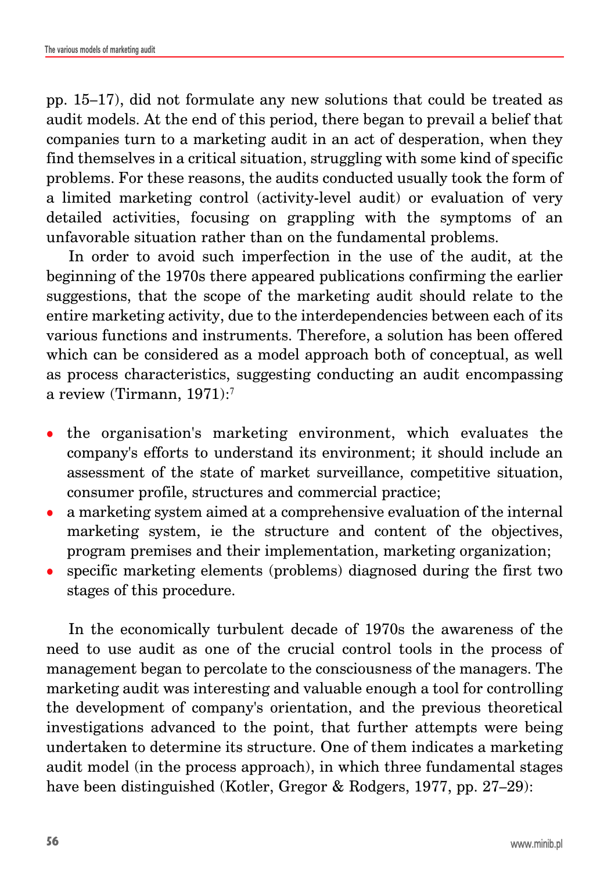pp. 15–17), did not formulate any new solutions that could be treated as audit models. At the end of this period, there began to prevail a belief that companies turn to a marketing audit in an act of desperation, when they find themselves in a critical situation, struggling with some kind of specific problems. For these reasons, the audits conducted usually took the form of a limited marketing control (activity-level audit) or evaluation of very detailed activities, focusing on grappling with the symptoms of an unfavorable situation rather than on the fundamental problems.

In order to avoid such imperfection in the use of the audit, at the beginning of the 1970s there appeared publications confirming the earlier suggestions, that the scope of the marketing audit should relate to the entire marketing activity, due to the interdependencies between each of its various functions and instruments. Therefore, a solution has been offered which can be considered as a model approach both of conceptual, as well as process characteristics, suggesting conducting an audit encompassing a review (Tirmann, 1971):<sup>7</sup>

- the organisation's marketing environment, which evaluates the company's efforts to understand its environment; it should include an assessment of the state of market surveillance, competitive situation, consumer profile, structures and commercial practice;
- <sup>z</sup> a marketing system aimed at a comprehensive evaluation of the internal marketing system, ie the structure and content of the objectives, program premises and their implementation, marketing organization;
- <sup>z</sup> specific marketing elements (problems) diagnosed during the first two stages of this procedure.

In the economically turbulent decade of 1970s the awareness of the need to use audit as one of the crucial control tools in the process of management began to percolate to the consciousness of the managers. The marketing audit was interesting and valuable enough a tool for controlling the development of company's orientation, and the previous theoretical investigations advanced to the point, that further attempts were being undertaken to determine its structure. One of them indicates a marketing audit model (in the process approach), in which three fundamental stages have been distinguished (Kotler, Gregor & Rodgers, 1977, pp. 27–29):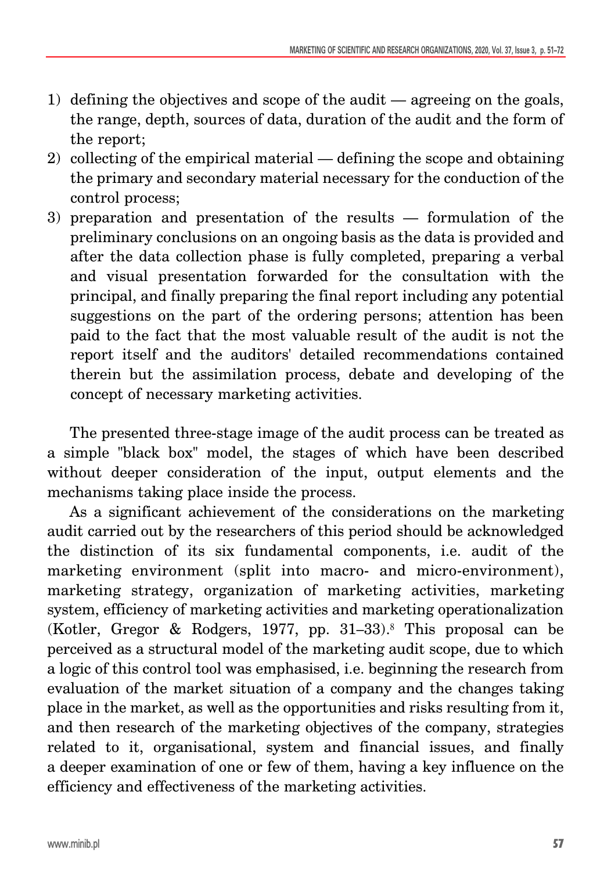- 1) defining the objectives and scope of the audit agreeing on the goals, the range, depth, sources of data, duration of the audit and the form of the report;
- 2) collecting of the empirical material defining the scope and obtaining the primary and secondary material necessary for the conduction of the control process;
- 3) preparation and presentation of the results formulation of the preliminary conclusions on an ongoing basis as the data is provided and after the data collection phase is fully completed, preparing a verbal and visual presentation forwarded for the consultation with the principal, and finally preparing the final report including any potential suggestions on the part of the ordering persons; attention has been paid to the fact that the most valuable result of the audit is not the report itself and the auditors' detailed recommendations contained therein but the assimilation process, debate and developing of the concept of necessary marketing activities.

The presented three-stage image of the audit process can be treated as a simple "black box" model, the stages of which have been described without deeper consideration of the input, output elements and the mechanisms taking place inside the process.

As a significant achievement of the considerations on the marketing audit carried out by the researchers of this period should be acknowledged the distinction of its six fundamental components, i.e. audit of the marketing environment (split into macro- and micro-environment), marketing strategy, organization of marketing activities, marketing system, efficiency of marketing activities and marketing operationalization (Kotler, Gregor & Rodgers, 1977, pp.  $31-33$ ).<sup>8</sup> This proposal can be perceived as a structural model of the marketing audit scope, due to which a logic of this control tool was emphasised, i.e. beginning the research from evaluation of the market situation of a company and the changes taking place in the market, as well as the opportunities and risks resulting from it, and then research of the marketing objectives of the company, strategies related to it, organisational, system and financial issues, and finally a deeper examination of one or few of them, having a key influence on the efficiency and effectiveness of the marketing activities.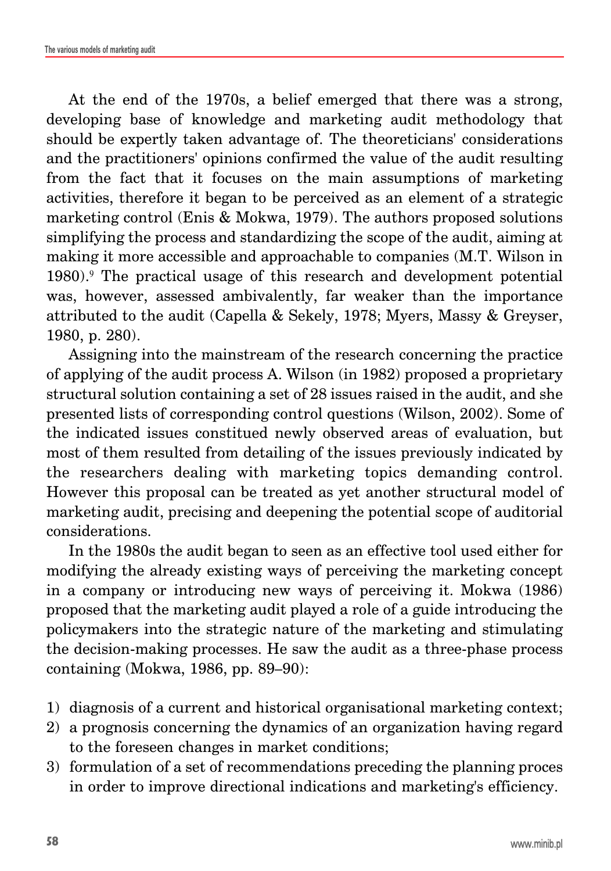At the end of the 1970s, a belief emerged that there was a strong, developing base of knowledge and marketing audit methodology that should be expertly taken advantage of. The theoreticians' considerations and the practitioners' opinions confirmed the value of the audit resulting from the fact that it focuses on the main assumptions of marketing activities, therefore it began to be perceived as an element of a strategic marketing control (Enis & Mokwa, 1979). The authors proposed solutions simplifying the process and standardizing the scope of the audit, aiming at making it more accessible and approachable to companies (M.T. Wilson in 1980).<sup>9</sup> The practical usage of this research and development potential was, however, assessed ambivalently, far weaker than the importance attributed to the audit (Capella & Sekely, 1978; Myers, Massy & Greyser, 1980, p. 280).

Assigning into the mainstream of the research concerning the practice of applying of the audit process A. Wilson (in 1982) proposed a proprietary structural solution containing a set of 28 issues raised in the audit, and she presented lists of corresponding control questions (Wilson, 2002). Some of the indicated issues constitued newly observed areas of evaluation, but most of them resulted from detailing of the issues previously indicated by the researchers dealing with marketing topics demanding control. However this proposal can be treated as yet another structural model of marketing audit, precising and deepening the potential scope of auditorial considerations.

In the 1980s the audit began to seen as an effective tool used either for modifying the already existing ways of perceiving the marketing concept in a company or introducing new ways of perceiving it. Mokwa (1986) proposed that the marketing audit played a role of a guide introducing the policymakers into the strategic nature of the marketing and stimulating the decision-making processes. He saw the audit as a three-phase process containing (Mokwa, 1986, pp. 89–90):

- 1) diagnosis of a current and historical organisational marketing context;
- 2) a prognosis concerning the dynamics of an organization having regard to the foreseen changes in market conditions;
- 3) formulation of a set of recommendations preceding the planning proces in order to improve directional indications and marketing's efficiency.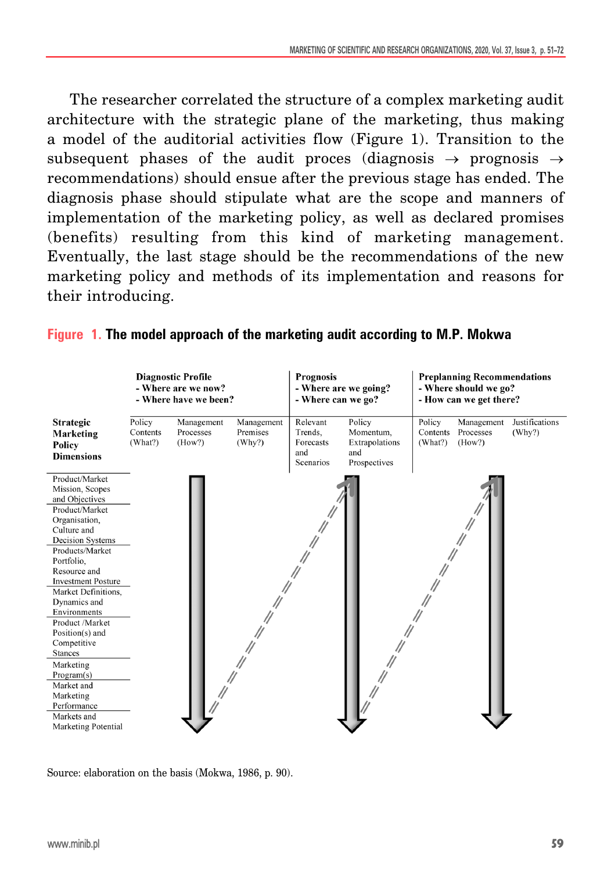The researcher correlated the structure of a complex marketing audit architecture with the strategic plane of the marketing, thus making a model of the auditorial activities flow (Figure 1). Transition to the subsequent phases of the audit proces (diagnosis  $\rightarrow$  prognosis  $\rightarrow$ recommendations) should ensue after the previous stage has ended. The diagnosis phase should stipulate what are the scope and manners of implementation of the marketing policy, as well as declared promises (benefits) resulting from this kind of marketing management. Eventually, the last stage should be the recommendations of the new marketing policy and methods of its implementation and reasons for their introducing.

| <b>Diagnostic Profile</b><br>- Where are we now?<br>- Where have we been?                                                                                                                                                                                                                                                                                                                                  |                               |                                   |                                  | Prognosis<br>- Where are we going?<br>- Where can we go? |                                                              | <b>Preplanning Recommendations</b><br>- Where should we go?<br>- How can we get there? |                                   |                          |
|------------------------------------------------------------------------------------------------------------------------------------------------------------------------------------------------------------------------------------------------------------------------------------------------------------------------------------------------------------------------------------------------------------|-------------------------------|-----------------------------------|----------------------------------|----------------------------------------------------------|--------------------------------------------------------------|----------------------------------------------------------------------------------------|-----------------------------------|--------------------------|
| <b>Strategic</b><br>Marketing<br>Policy<br><b>Dimensions</b>                                                                                                                                                                                                                                                                                                                                               | Policy<br>Contents<br>(What?) | Management<br>Processes<br>(How?) | Management<br>Premises<br>(Why?) | Relevant<br>Trends,<br>Forecasts<br>and<br>Scenarios     | Policy<br>Momentum,<br>Extrapolations<br>and<br>Prospectives | Policy<br>Contents<br>(What?)                                                          | Management<br>Processes<br>(How?) | Justifications<br>(Why?) |
| Product/Market<br>Mission, Scopes<br>and Objectives<br>Product/Market<br>Organisation,<br>Culture and<br>Decision Systems<br>Products/Market<br>Portfolio,<br>Resource and<br><b>Investment Posture</b><br>Market Definitions.<br>Dynamics and<br>Environments<br>Product /Market<br>Position(s) and<br>Competitive<br><b>Stances</b><br>Marketing<br>Program(s)<br>Market and<br>Marketing<br>Performance |                               |                                   |                                  |                                                          |                                                              |                                                                                        |                                   |                          |
| Markets and<br>Marketing Potential                                                                                                                                                                                                                                                                                                                                                                         |                               |                                   |                                  |                                                          |                                                              |                                                                                        |                                   |                          |

**Figure 1. The model approach of the marketing audit according to M.P. Mokwa**

Source: elaboration on the basis (Mokwa, 1986, p. 90).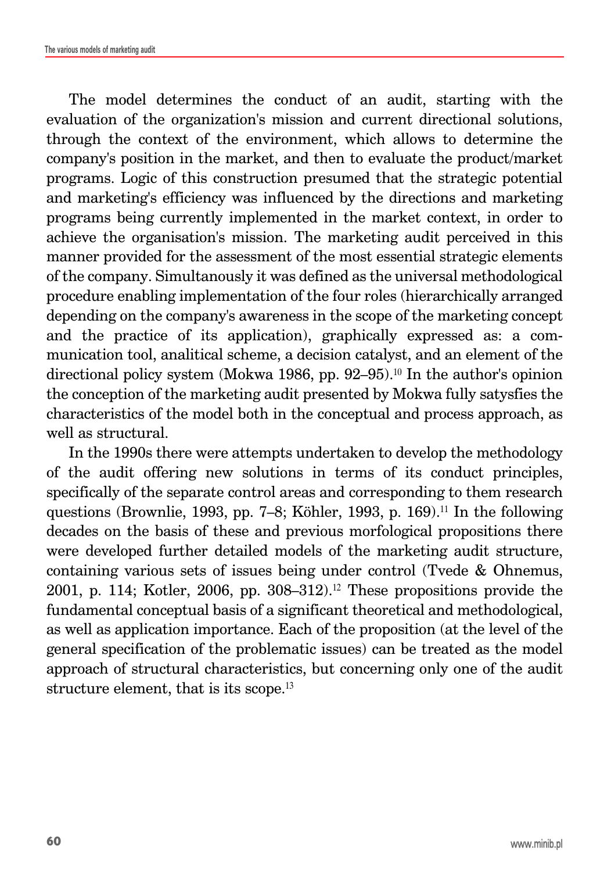The model determines the conduct of an audit, starting with the evaluation of the organization's mission and current directional solutions, through the context of the environment, which allows to determine the company's position in the market, and then to evaluate the product/market programs. Logic of this construction presumed that the strategic potential and marketing's efficiency was influenced by the directions and marketing programs being currently implemented in the market context, in order to achieve the organisation's mission. The marketing audit perceived in this manner provided for the assessment of the most essential strategic elements of the company. Simultanously it was defined as the universal methodological procedure enabling implementation of the four roles (hierarchically arranged depending on the company's awareness in the scope of the marketing concept and the practice of its application), graphically expressed as: a communication tool, analitical scheme, a decision catalyst, and an element of the directional policy system (Mokwa 1986, pp. 92–95).<sup>10</sup> In the author's opinion the conception of the marketing audit presented by Mokwa fully satysfies the characteristics of the model both in the conceptual and process approach, as well as structural.

In the 1990s there were attempts undertaken to develop the methodology of the audit offering new solutions in terms of its conduct principles, specifically of the separate control areas and corresponding to them research questions (Brownlie, 1993, pp. 7–8; Köhler, 1993, p. 169).<sup>11</sup> In the following decades on the basis of these and previous morfological propositions there were developed further detailed models of the marketing audit structure, containing various sets of issues being under control (Tvede & Ohnemus, 2001, p. 114; Kotler, 2006, pp. 308–312).<sup>12</sup> These propositions provide the fundamental conceptual basis of a significant theoretical and methodological, as well as application importance. Each of the proposition (at the level of the general specification of the problematic issues) can be treated as the model approach of structural characteristics, but concerning only one of the audit structure element, that is its scope.<sup>13</sup>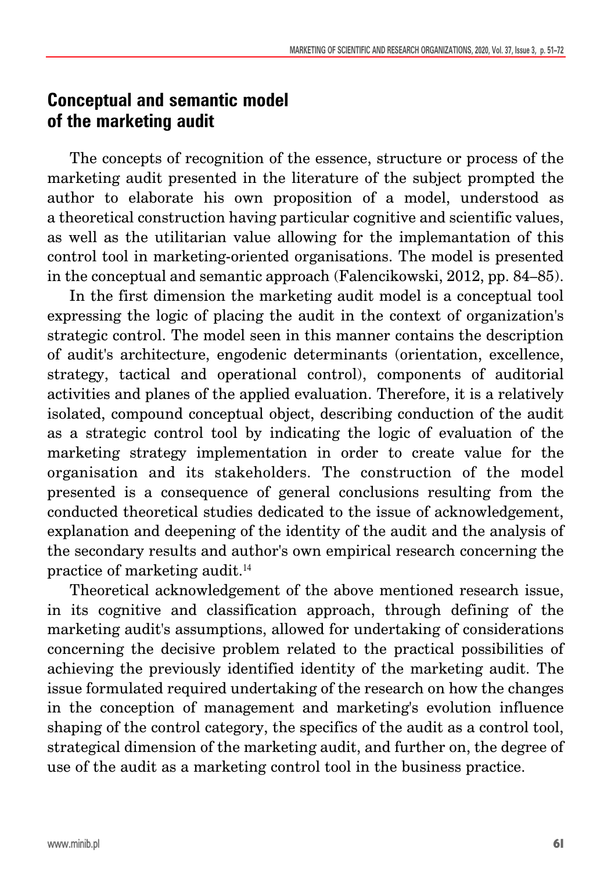# **Conceptual and semantic model of the marketing audit**

The concepts of recognition of the essence, structure or process of the marketing audit presented in the literature of the subject prompted the author to elaborate his own proposition of a model, understood as a theoretical construction having particular cognitive and scientific values, as well as the utilitarian value allowing for the implemantation of this control tool in marketing-oriented organisations. The model is presented in the conceptual and semantic approach (Falencikowski, 2012, pp. 84–85).

In the first dimension the marketing audit model is a conceptual tool expressing the logic of placing the audit in the context of organization's strategic control. The model seen in this manner contains the description of audit's architecture, engodenic determinants (orientation, excellence, strategy, tactical and operational control), components of auditorial activities and planes of the applied evaluation. Therefore, it is a relatively isolated, compound conceptual object, describing conduction of the audit as a strategic control tool by indicating the logic of evaluation of the marketing strategy implementation in order to create value for the organisation and its stakeholders. The construction of the model presented is a consequence of general conclusions resulting from the conducted theoretical studies dedicated to the issue of acknowledgement, explanation and deepening of the identity of the audit and the analysis of the secondary results and author's own empirical research concerning the practice of marketing audit.<sup>14</sup>

Theoretical acknowledgement of the above mentioned research issue, in its cognitive and classification approach, through defining of the marketing audit's assumptions, allowed for undertaking of considerations concerning the decisive problem related to the practical possibilities of achieving the previously identified identity of the marketing audit. The issue formulated required undertaking of the research on how the changes in the conception of management and marketing's evolution influence shaping of the control category, the specifics of the audit as a control tool, strategical dimension of the marketing audit, and further on, the degree of use of the audit as a marketing control tool in the business practice.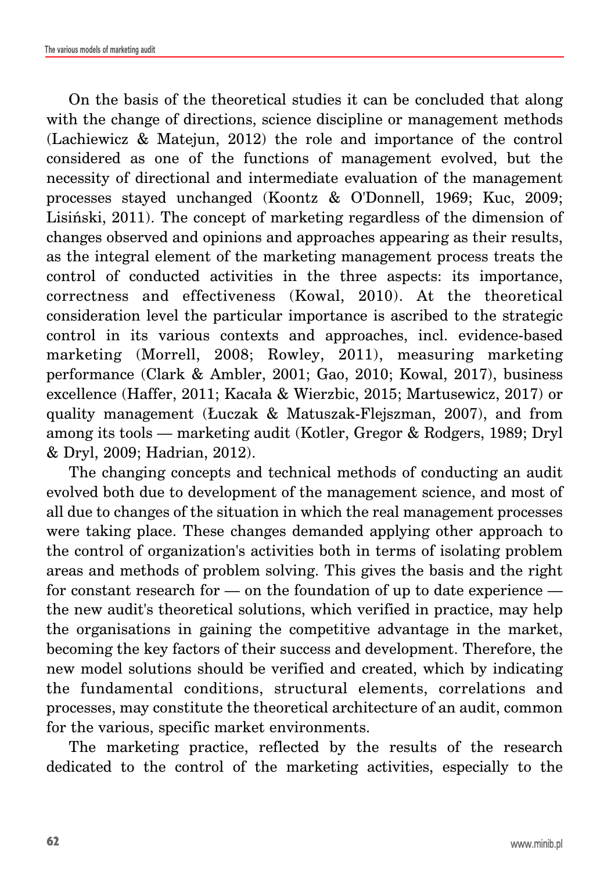On the basis of the theoretical studies it can be concluded that along with the change of directions, science discipline or management methods (Lachiewicz & Matejun, 2012) the role and importance of the control considered as one of the functions of management evolved, but the necessity of directional and intermediate evaluation of the management processes stayed unchanged (Koontz & O'Donnell, 1969; Kuc, 2009; Lisiński, 2011). The concept of marketing regardless of the dimension of changes observed and opinions and approaches appearing as their results, as the integral element of the marketing management process treats the control of conducted activities in the three aspects: its importance, correctness and effectiveness (Kowal, 2010). At the theoretical consideration level the particular importance is ascribed to the strategic control in its various contexts and approaches, incl. evidence-based marketing (Morrell, 2008; Rowley, 2011), measuring marketing performance (Clark & Ambler, 2001; Gao, 2010; Kowal, 2017), business excellence (Haffer, 2011; Kacała & Wierzbic, 2015; Martusewicz, 2017) or quality management (Łuczak & Matuszak-Flejszman, 2007), and from among its tools — marketing audit (Kotler, Gregor & Rodgers, 1989; Dryl & Dryl, 2009; Hadrian, 2012).

The changing concepts and technical methods of conducting an audit evolved both due to development of the management science, and most of all due to changes of the situation in which the real management processes were taking place. These changes demanded applying other approach to the control of organization's activities both in terms of isolating problem areas and methods of problem solving. This gives the basis and the right for constant research for  $-$  on the foundation of up to date experience  $$ the new audit's theoretical solutions, which verified in practice, may help the organisations in gaining the competitive advantage in the market, becoming the key factors of their success and development. Therefore, the new model solutions should be verified and created, which by indicating the fundamental conditions, structural elements, correlations and processes, may constitute the theoretical architecture of an audit, common for the various, specific market environments.

The marketing practice, reflected by the results of the research dedicated to the control of the marketing activities, especially to the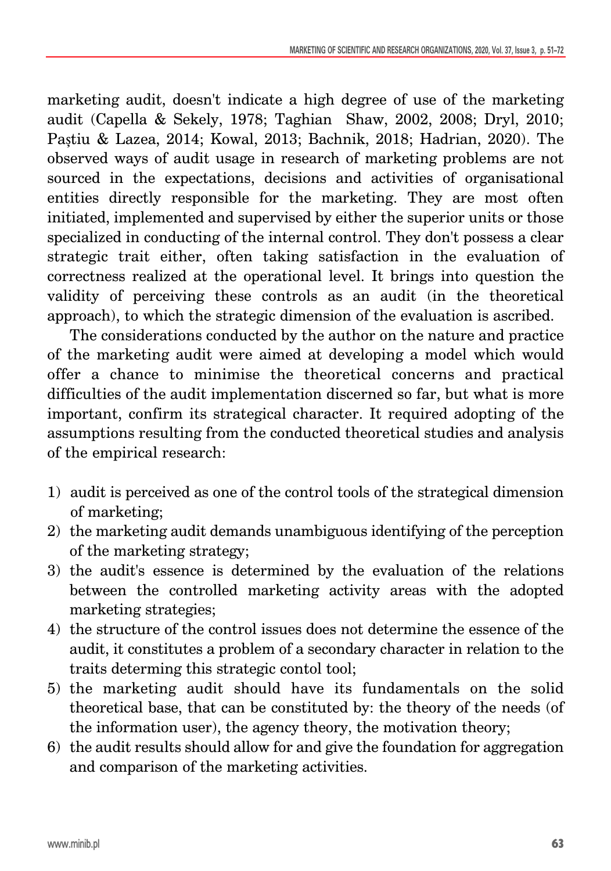marketing audit, doesn't indicate a high degree of use of the marketing audit (Capella & Sekely, 1978; Taghian Shaw, 2002, 2008; Dryl, 2010; Paștiu & Lazea, 2014; Kowal, 2013; Bachnik, 2018; Hadrian, 2020). The observed ways of audit usage in research of marketing problems are not sourced in the expectations, decisions and activities of organisational entities directly responsible for the marketing. They are most often initiated, implemented and supervised by either the superior units or those specialized in conducting of the internal control. They don't possess a clear strategic trait either, often taking satisfaction in the evaluation of correctness realized at the operational level. It brings into question the validity of perceiving these controls as an audit (in the theoretical approach), to which the strategic dimension of the evaluation is ascribed.

The considerations conducted by the author on the nature and practice of the marketing audit were aimed at developing a model which would offer a chance to minimise the theoretical concerns and practical difficulties of the audit implementation discerned so far, but what is more important, confirm its strategical character. It required adopting of the assumptions resulting from the conducted theoretical studies and analysis of the empirical research:

- 1) audit is perceived as one of the control tools of the strategical dimension of marketing;
- 2) the marketing audit demands unambiguous identifying of the perception of the marketing strategy;
- 3) the audit's essence is determined by the evaluation of the relations between the controlled marketing activity areas with the adopted marketing strategies;
- 4) the structure of the control issues does not determine the essence of the audit, it constitutes a problem of a secondary character in relation to the traits determing this strategic contol tool;
- 5) the marketing audit should have its fundamentals on the solid theoretical base, that can be constituted by: the theory of the needs (of the information user), the agency theory, the motivation theory;
- 6) the audit results should allow for and give the foundation for aggregation and comparison of the marketing activities.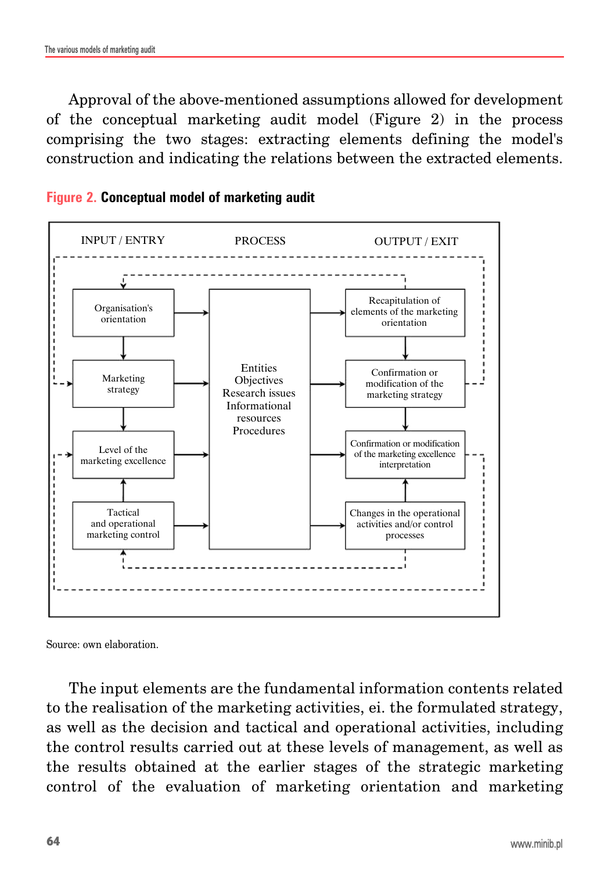Approval of the above-mentioned assumptions allowed for development of the conceptual marketing audit model (Figure 2) in the process comprising the two stages: extracting elements defining the model's construction and indicating the relations between the extracted elements.



**Figure 2. Conceptual model of marketing audit**

Source: own elaboration.

The input elements are the fundamental information contents related to the realisation of the marketing activities, ei. the formulated strategy, as well as the decision and tactical and operational activities, including the control results carried out at these levels of management, as well as the results obtained at the earlier stages of the strategic marketing control of the evaluation of marketing orientation and marketing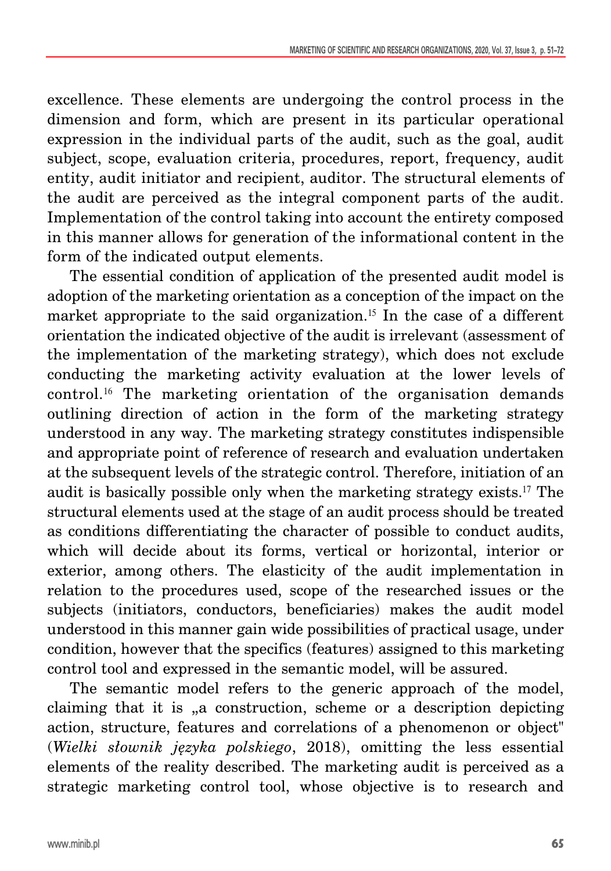excellence. These elements are undergoing the control process in the dimension and form, which are present in its particular operational expression in the individual parts of the audit, such as the goal, audit subject, scope, evaluation criteria, procedures, report, frequency, audit entity, audit initiator and recipient, auditor. The structural elements of the audit are perceived as the integral component parts of the audit. Implementation of the control taking into account the entirety composed in this manner allows for generation of the informational content in the form of the indicated output elements.

The essential condition of application of the presented audit model is adoption of the marketing orientation as a conception of the impact on the market appropriate to the said organization.<sup>15</sup> In the case of a different orientation the indicated objective of the audit is irrelevant (assessment of the implementation of the marketing strategy), which does not exclude conducting the marketing activity evaluation at the lower levels of control.<sup>16</sup> The marketing orientation of the organisation demands outlining direction of action in the form of the marketing strategy understood in any way. The marketing strategy constitutes indispensible and appropriate point of reference of research and evaluation undertaken at the subsequent levels of the strategic control. Therefore, initiation of an audit is basically possible only when the marketing strategy exists.<sup>17</sup> The structural elements used at the stage of an audit process should be treated as conditions differentiating the character of possible to conduct audits, which will decide about its forms, vertical or horizontal, interior or exterior, among others. The elasticity of the audit implementation in relation to the procedures used, scope of the researched issues or the subjects (initiators, conductors, beneficiaries) makes the audit model understood in this manner gain wide possibilities of practical usage, under condition, however that the specifics (features) assigned to this marketing control tool and expressed in the semantic model, will be assured.

The semantic model refers to the generic approach of the model, claiming that it is "a construction, scheme or a description depicting action, structure, features and correlations of a phenomenon or object" (*Wielki słownik języka polskiego*, 2018), omitting the less essential elements of the reality described. The marketing audit is perceived as a strategic marketing control tool, whose objective is to research and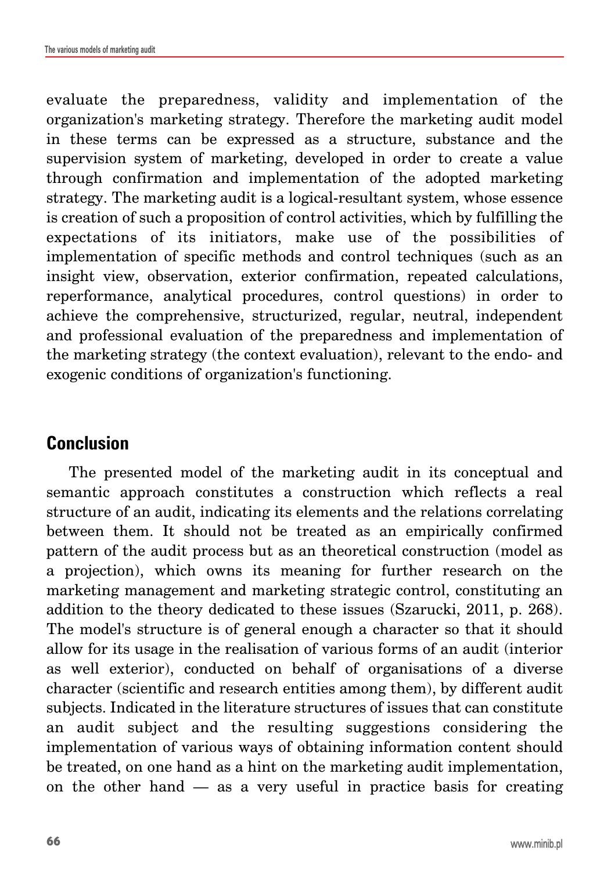evaluate the preparedness, validity and implementation of the organization's marketing strategy. Therefore the marketing audit model in these terms can be expressed as a structure, substance and the supervision system of marketing, developed in order to create a value through confirmation and implementation of the adopted marketing strategy. The marketing audit is a logical-resultant system, whose essence is creation of such a proposition of control activities, which by fulfilling the expectations of its initiators, make use of the possibilities of implementation of specific methods and control techniques (such as an insight view, observation, exterior confirmation, repeated calculations, reperformance, analytical procedures, control questions) in order to achieve the comprehensive, structurized, regular, neutral, independent and professional evaluation of the preparedness and implementation of the marketing strategy (the context evaluation), relevant to the endo- and exogenic conditions of organization's functioning.

# **Conclusion**

The presented model of the marketing audit in its conceptual and semantic approach constitutes a construction which reflects a real structure of an audit, indicating its elements and the relations correlating between them. It should not be treated as an empirically confirmed pattern of the audit process but as an theoretical construction (model as a projection), which owns its meaning for further research on the marketing management and marketing strategic control, constituting an addition to the theory dedicated to these issues (Szarucki, 2011, p. 268). The model's structure is of general enough a character so that it should allow for its usage in the realisation of various forms of an audit (interior as well exterior), conducted on behalf of organisations of a diverse character (scientific and research entities among them), by different audit subjects. Indicated in the literature structures of issues that can constitute an audit subject and the resulting suggestions considering the implementation of various ways of obtaining information content should be treated, on one hand as a hint on the marketing audit implementation, on the other hand — as a very useful in practice basis for creating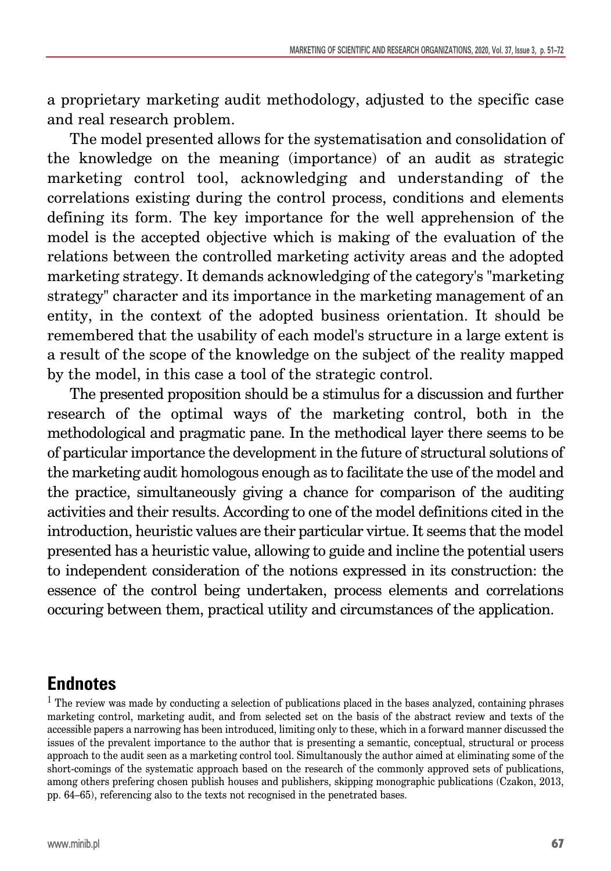a proprietary marketing audit methodology, adjusted to the specific case and real research problem.

The model presented allows for the systematisation and consolidation of the knowledge on the meaning (importance) of an audit as strategic marketing control tool, acknowledging and understanding of the correlations existing during the control process, conditions and elements defining its form. The key importance for the well apprehension of the model is the accepted objective which is making of the evaluation of the relations between the controlled marketing activity areas and the adopted marketing strategy. It demands acknowledging of the category's "marketing strategy" character and its importance in the marketing management of an entity, in the context of the adopted business orientation. It should be remembered that the usability of each model's structure in a large extent is a result of the scope of the knowledge on the subject of the reality mapped by the model, in this case a tool of the strategic control.

The presented proposition should be a stimulus for a discussion and further research of the optimal ways of the marketing control, both in the methodological and pragmatic pane. In the methodical layer there seems to be of particular importance the development in the future of structural solutions of the marketing audit homologous enough as to facilitate the use of the model and the practice, simultaneously giving a chance for comparison of the auditing activities and their results. According to one of the model definitions cited in the introduction, heuristic values are their particular virtue. It seems that the model presented has a heuristic value, allowing to guide and incline the potential users to independent consideration of the notions expressed in its construction: the essence of the control being undertaken, process elements and correlations occuring between them, practical utility and circumstances of the application.

# **Endnotes**

<sup>1</sup> The review was made by conducting a selection of publications placed in the bases analyzed, containing phrases marketing control, marketing audit, and from selected set on the basis of the abstract review and texts of the accessible papers a narrowing has been introduced, limiting only to these, which in a forward manner discussed the issues of the prevalent importance to the author that is presenting a semantic, conceptual, structural or process approach to the audit seen as a marketing control tool. Simultanously the author aimed at eliminating some of the short-comings of the systematic approach based on the research of the commonly approved sets of publications, among others prefering chosen publish houses and publishers, skipping monographic publications (Czakon, 2013, pp. 64–65), referencing also to the texts not recognised in the penetrated bases.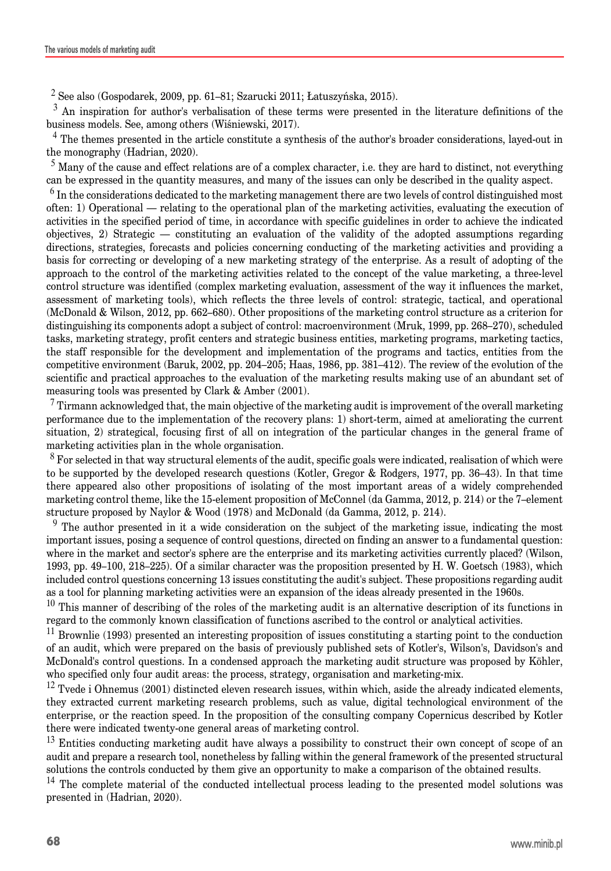$2$  See also (Gospodarek, 2009, pp. 61–81; Szarucki 2011; Łatuszyńska, 2015).

 $3$  An inspiration for author's verbalisation of these terms were presented in the literature definitions of the business models. See, among others (Wiśniewski, 2017).

<sup>4</sup> The themes presented in the article constitute a synthesis of the author's broader considerations, layed-out in the monography (Hadrian, 2020).

 $<sup>5</sup>$  Many of the cause and effect relations are of a complex character, i.e. they are hard to distinct, not everything</sup> can be expressed in the quantity measures, and many of the issues can only be described in the quality aspect.

<sup>6</sup> In the considerations dedicated to the marketing management there are two levels of control distinguished most often: 1) Operational — relating to the operational plan of the marketing activities, evaluating the execution of activities in the specified period of time, in accordance with specific guidelines in order to achieve the indicated objectives, 2) Strategic — constituting an evaluation of the validity of the adopted assumptions regarding directions, strategies, forecasts and policies concerning conducting of the marketing activities and providing a basis for correcting or developing of a new marketing strategy of the enterprise. As a result of adopting of the approach to the control of the marketing activities related to the concept of the value marketing, a three-level control structure was identified (complex marketing evaluation, assessment of the way it influences the market, assessment of marketing tools), which reflects the three levels of control: strategic, tactical, and operational (McDonald & Wilson, 2012, pp. 662–680). Other propositions of the marketing control structure as a criterion for distinguishing its components adopt a subject of control: macroenvironment (Mruk, 1999, pp. 268–270), scheduled tasks, marketing strategy, profit centers and strategic business entities, marketing programs, marketing tactics, the staff responsible for the development and implementation of the programs and tactics, entities from the competitive environment (Baruk, 2002, pp. 204–205; Haas, 1986, pp. 381–412). The review of the evolution of the scientific and practical approaches to the evaluation of the marketing results making use of an abundant set of measuring tools was presented by Clark & Amber (2001).

<sup>7</sup> Tirmann acknowledged that, the main objective of the marketing audit is improvement of the overall marketing performance due to the implementation of the recovery plans: 1) short-term, aimed at ameliorating the current situation, 2) strategical, focusing first of all on integration of the particular changes in the general frame of marketing activities plan in the whole organisation.

 $8$  For selected in that way structural elements of the audit, specific goals were indicated, realisation of which were to be supported by the developed research questions (Kotler, Gregor & Rodgers, 1977, pp. 36–43). In that time there appeared also other propositions of isolating of the most important areas of a widely comprehended marketing control theme, like the 15-element proposition of McConnel (da Gamma, 2012, p. 214) or the 7–element structure proposed by Naylor & Wood (1978) and McDonald (da Gamma, 2012, p. 214).

 $9$  The author presented in it a wide consideration on the subject of the marketing issue, indicating the most important issues, posing a sequence of control questions, directed on finding an answer to a fundamental question: where in the market and sector's sphere are the enterprise and its marketing activities currently placed? (Wilson, 1993, pp. 49–100, 218–225). Of a similar character was the proposition presented by H. W. Goetsch (1983), which included control questions concerning 13 issues constituting the audit's subject. These propositions regarding audit as a tool for planning marketing activities were an expansion of the ideas already presented in the 1960s.

 $10$  This manner of describing of the roles of the marketing audit is an alternative description of its functions in regard to the commonly known classification of functions ascribed to the control or analytical activities.

 $11$  Brownlie (1993) presented an interesting proposition of issues constituting a starting point to the conduction of an audit, which were prepared on the basis of previously published sets of Kotler's, Wilson's, Davidson's and McDonald's control questions. In a condensed approach the marketing audit structure was proposed by Köhler, who specified only four audit areas: the process, strategy, organisation and marketing-mix.

 $12$  Tvede i Ohnemus (2001) distincted eleven research issues, within which, aside the already indicated elements, they extracted current marketing research problems, such as value, digital technological environment of the enterprise, or the reaction speed. In the proposition of the consulting company Copernicus described by Kotler there were indicated twenty-one general areas of marketing control.

<sup>13</sup> Entities conducting marketing audit have always a possibility to construct their own concept of scope of an audit and prepare a research tool, nonetheless by falling within the general framework of the presented structural solutions the controls conducted by them give an opportunity to make a comparison of the obtained results.

 $14$  The complete material of the conducted intellectual process leading to the presented model solutions was presented in (Hadrian, 2020).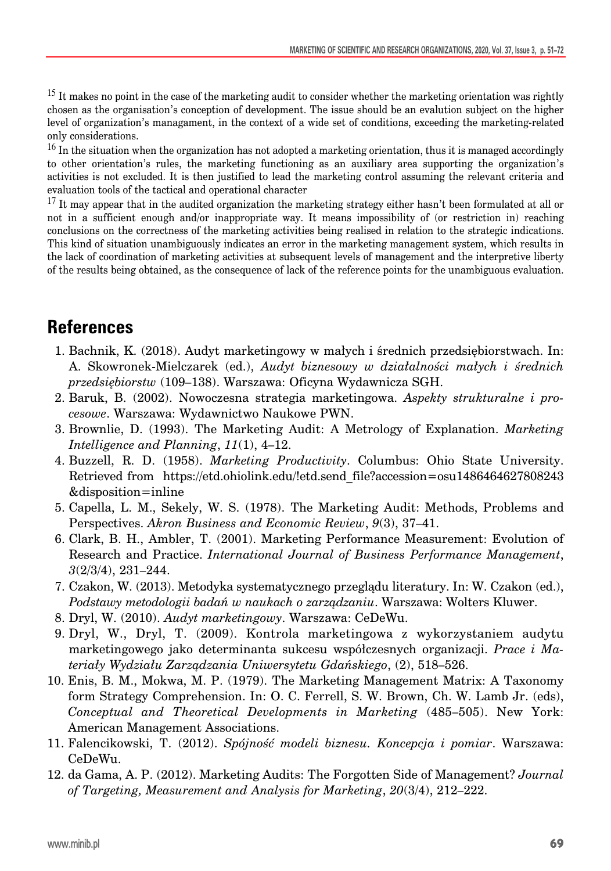<sup>15</sup> It makes no point in the case of the marketing audit to consider whether the marketing orientation was rightly chosen as the organisation's conception of development. The issue should be an evalution subject on the higher level of organization's managament, in the context of a wide set of conditions, exceeding the marketing-related only considerations.

<sup>16</sup> In the situation when the organization has not adopted a marketing orientation, thus it is managed accordingly to other orientation's rules, the marketing functioning as an auxiliary area supporting the organization's activities is not excluded. It is then justified to lead the marketing control assuming the relevant criteria and evaluation tools of the tactical and operational character

 $17$  It may appear that in the audited organization the marketing strategy either hasn't been formulated at all or not in a sufficient enough and/or inappropriate way. It means impossibility of (or restriction in) reaching conclusions on the correctness of the marketing activities being realised in relation to the strategic indications. This kind of situation unambiguously indicates an error in the marketing management system, which results in the lack of coordination of marketing activities at subsequent levels of management and the interpretive liberty of the results being obtained, as the consequence of lack of the reference points for the unambiguous evaluation.

# **References**

- 1. Bachnik, K. (2018). Audyt marketingowy w małych i średnich przedsiębiorstwach. In: A. Skowronek-Mielczarek (ed.), *Audyt biznesowy w działalności małych i średnich przedsiębiorstw* (109–138). Warszawa: Oficyna Wydawnicza SGH.
- 2. Baruk, B. (2002). Nowoczesna strategia marketingowa. *Aspekty strukturalne i procesowe*. Warszawa: Wydawnictwo Naukowe PWN.
- 3. Brownlie, D. (1993). The Marketing Audit: A Metrology of Explanation. *Marketing Intelligence and Planning*, *11*(1), 4–12.
- 4. Buzzell, R. D. (1958). *Marketing Productivity*. Columbus: Ohio State University. Retrieved from https://etd.ohiolink.edu/!etd.send\_file?accession=osu1486464627808243 &disposition=inline
- 5. Capella, L. M., Sekely, W. S. (1978). The Marketing Audit: Methods, Problems and Perspectives. *Akron Business and Economic Review*, *9*(3), 37–41.
- 6. Clark, B. H., Ambler, T. (2001). Marketing Performance Measurement: Evolution of Research and Practice. *International Journal of Business Performance Management*, *3*(2/3/4), 231–244.
- 7. Czakon, W. (2013). Metodyka systematycznego przeglądu literatury. In: W. Czakon (ed.), *Podstawy metodologii badań w naukach o zarządzaniu*. Warszawa: Wolters Kluwer.
- 8. Dryl, W. (2010). *Audyt marketingowy*. Warszawa: CeDeWu.
- 9. Dryl, W., Dryl, T. (2009). Kontrola marketingowa z wykorzystaniem audytu marketingowego jako determinanta sukcesu współczesnych organizacji. *Prace i Materiały Wydziału Zarządzania Uniwersytetu Gdańskiego*, (2), 518–526.
- 10. Enis, B. M., Mokwa, M. P. (1979). The Marketing Management Matrix: A Taxonomy form Strategy Comprehension. In: O. C. Ferrell, S. W. Brown, Ch. W. Lamb Jr. (eds), *Conceptual and Theoretical Developments in Marketing* (485–505). New York: American Management Associations.
- 11. Falencikowski, T. (2012). *Spójność modeli biznesu. Koncepcja i pomiar*. Warszawa: CeDeWu.
- 12. da Gama, A. P. (2012). Marketing Audits: The Forgotten Side of Management? *Journal of Targeting, Measurement and Analysis for Marketing*, *20*(3/4), 212–222.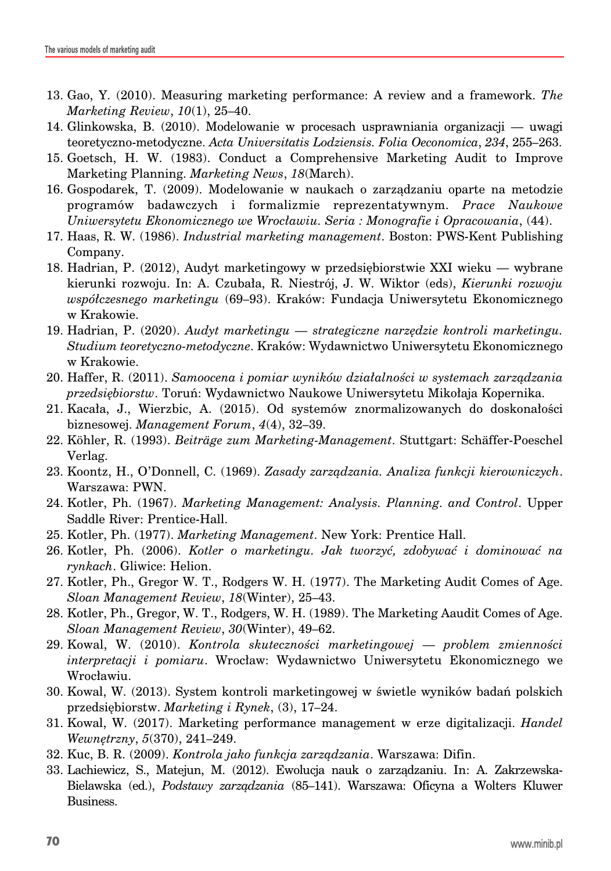- 13. Gao, Y. (2010). Measuring marketing performance: A review and a framework. *The Marketing Review*, *10*(1), 25–40.
- 14. Glinkowska, B. (2010). Modelowanie w procesach usprawniania organizacji uwagi teoretyczno-metodyczne. *Acta Universitatis Lodziensis. Folia Oeconomica*, *234*, 255–263.
- 15. Goetsch, H. W. (1983). Conduct a Comprehensive Marketing Audit to Improve Marketing Planning. *Marketing News*, *18*(March).
- 16. Gospodarek, T. (2009). Modelowanie w naukach o zarządzaniu oparte na metodzie programów badawczych i formalizmie reprezentatywnym. *Prace Naukowe Uniwersytetu Ekonomicznego we Wrocławiu. Seria : Monografie i Opracowania*, (44).
- 17. Haas, R. W. (1986). *Industrial marketing management*. Boston: PWS-Kent Publishing Company.
- 18. Hadrian, P. (2012), Audyt marketingowy w przedsiębiorstwie XXI wieku wybrane kierunki rozwoju. In: A. Czubała, R. Niestrój, J. W. Wiktor (eds), *Kierunki rozwoju współczesnego marketingu* (69–93). Kraków: Fundacja Uniwersytetu Ekonomicznego w Krakowie.
- 19. Hadrian, P. (2020). *Audyt marketingu strategiczne narzędzie kontroli marketingu. Studium teoretyczno-metodyczne*. Kraków: Wydawnictwo Uniwersytetu Ekonomicznego w Krakowie.
- 20. Haffer, R. (2011). *Samoocena i pomiar wyników działalności w systemach zarządzania przedsiębiorstw*. Toruń: Wydawnictwo Naukowe Uniwersytetu Mikołaja Kopernika.
- 21. Kacała, J., Wierzbic, A. (2015). Od systemów znormalizowanych do doskonałości biznesowej. *Management Forum*, *4*(4), 32–39.
- 22. Köhler, R. (1993). *Beiträge zum Marketing-Management*. Stuttgart: Schäffer-Poeschel Verlag.
- 23. Koontz, H., O'Donnell, C. (1969). *Zasady zarządzania. Analiza funkcji kierowniczych*. Warszawa: PWN.
- 24. Kotler, Ph. (1967). *Marketing Management: Analysis. Planning. and Control*. Upper Saddle River: Prentice-Hall.
- 25. Kotler, Ph. (1977). *Marketing Management*. New York: Prentice Hall.
- 26. Kotler, Ph. (2006). *Kotler o marketingu. Jak tworzyć, zdobywać i dominować na rynkach*. Gliwice: Helion.
- 27. Kotler, Ph., Gregor W. T., Rodgers W. H. (1977). The Marketing Audit Comes of Age. *Sloan Management Review*, *18*(Winter), 25–43.
- 28. Kotler, Ph., Gregor, W. T., Rodgers, W. H. (1989). The Marketing Aaudit Comes of Age. *Sloan Management Review*, *30*(Winter), 49–62.
- 29. Kowal, W. (2010). *Kontrola skuteczności marketingowej problem zmienności interpretacji i pomiaru*. Wrocław: Wydawnictwo Uniwersytetu Ekonomicznego we Wrocławiu.
- 30. Kowal, W. (2013). System kontroli marketingowej w świetle wyników badań polskich przedsiębiorstw. *Marketing i Rynek*, (3), 17–24.
- 31. Kowal, W. (2017). Marketing performance management w erze digitalizacji. *Handel Wewnętrzny*, *5*(370), 241–249.
- 32. Kuc, B. R. (2009). *Kontrola jako funkcja zarządzania*. Warszawa: Difin.
- 33. Lachiewicz, S., Matejun, M. (2012). Ewolucja nauk o zarządzaniu. In: A. Zakrzewska-Bielawska (ed.), *Podstawy zarządzania* (85–141). Warszawa: Oficyna a Wolters Kluwer Business.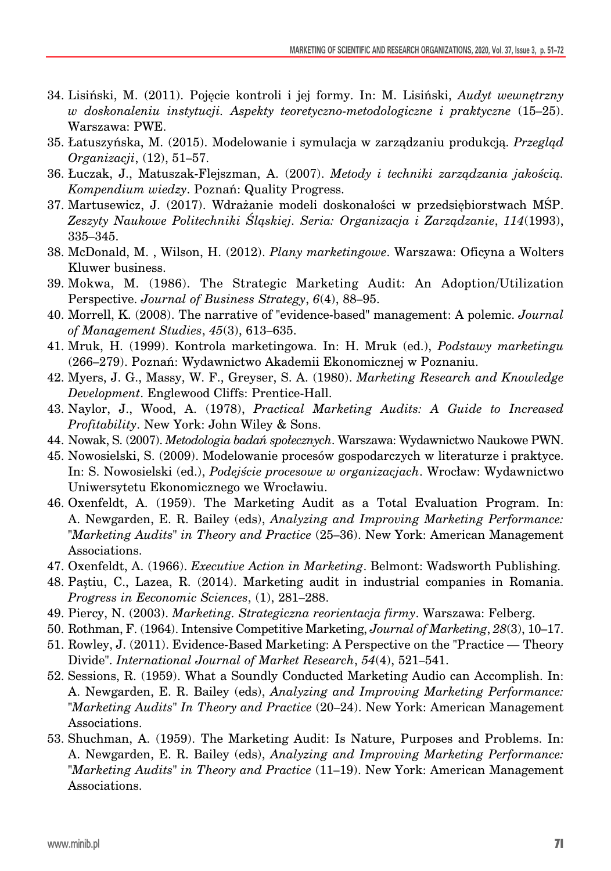- 34. Lisiński, M. (2011). Pojęcie kontroli i jej formy. In: M. Lisiński, *Audyt wewnętrzny w doskonaleniu instytucji. Aspekty teoretyczno-metodologiczne i praktyczne* (15–25). Warszawa: PWE.
- 35. Łatuszyńska, M. (2015). Modelowanie i symulacja w zarządzaniu produkcją. *Przegląd Organizacji*, (12), 51–57.
- 36. Łuczak, J., Matuszak-Flejszman, A. (2007). *Metody i techniki zarządzania jakością. Kompendium wiedzy*. Poznań: Quality Progress.
- 37. Martusewicz, J. (2017). Wdrażanie modeli doskonałości w przedsiębiorstwach MŚP. *Zeszyty Naukowe Politechniki Śląskiej. Seria: Organizacja i Zarządzanie*, *114*(1993), 335–345.
- 38. McDonald, M. , Wilson, H. (2012). *Plany marketingowe*. Warszawa: Oficyna a Wolters Kluwer business.
- 39. Mokwa, M. (1986). The Strategic Marketing Audit: An Adoption/Utilization Perspective. *Journal of Business Strategy*, *6*(4), 88–95.
- 40. Morrell, K. (2008). The narrative of "evidence-based" management: A polemic. *Journal of Management Studies*, *45*(3), 613–635.
- 41. Mruk, H. (1999). Kontrola marketingowa. In: H. Mruk (ed.), *Podstawy marketingu* (266–279). Poznań: Wydawnictwo Akademii Ekonomicznej w Poznaniu.
- 42. Myers, J. G., Massy, W. F., Greyser, S. A. (1980). *Marketing Research and Knowledge Development*. Englewood Cliffs: Prentice-Hall.
- 43. Naylor, J., Wood, A. (1978), *Practical Marketing Audits: A Guide to Increased Profitability*. New York: John Wiley & Sons.
- 44. Nowak, S. (2007). *Metodologia badań społecznych*. Warszawa: Wydawnictwo Naukowe PWN.
- 45. Nowosielski, S. (2009). Modelowanie procesów gospodarczych w literaturze i praktyce. In: S. Nowosielski (ed.), *Podejście procesowe w organizacjach*. Wrocław: Wydawnictwo Uniwersytetu Ekonomicznego we Wrocławiu.
- 46. Oxenfeldt, A. (1959). The Marketing Audit as a Total Evaluation Program. In: A. Newgarden, E. R. Bailey (eds), *Analyzing and Improving Marketing Performance: "Marketing Audits" in Theory and Practice* (25–36). New York: American Management Associations.
- 47. Oxenfeldt, A. (1966). *Executive Action in Marketing*. Belmont: Wadsworth Publishing.
- 48. Paștiu, C., Lazea, R. (2014). Marketing audit in industrial companies in Romania. *Progress in Eeconomic Sciences*, (1), 281–288.
- 49. Piercy, N. (2003). *Marketing. Strategiczna reorientacja firmy*. Warszawa: Felberg.
- 50. Rothman, F. (1964). Intensive Competitive Marketing, *Journal of Marketing*, *28*(3), 10–17.
- 51. Rowley, J. (2011). Evidence-Based Marketing: A Perspective on the "Practice Theory Divide". *International Journal of Market Research*, *54*(4), 521–541.
- 52. Sessions, R. (1959). What a Soundly Conducted Marketing Audio can Accomplish. In: A. Newgarden, E. R. Bailey (eds), *Analyzing and Improving Marketing Performance: "Marketing Audits" In Theory and Practice* (20–24). New York: American Management Associations.
- 53. Shuchman, A. (1959). The Marketing Audit: Is Nature, Purposes and Problems. In: A. Newgarden, E. R. Bailey (eds), *Analyzing and Improving Marketing Performance: "Marketing Audits" in Theory and Practice* (11–19). New York: American Management Associations.